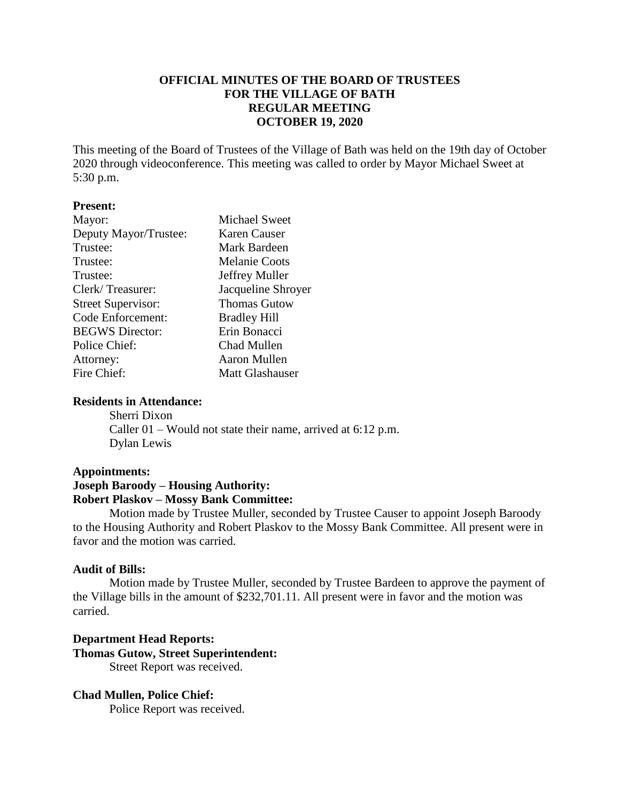# **OFFICIAL MINUTES OF THE BOARD OF TRUSTEES FOR THE VILLAGE OF BATH REGULAR MEETING OCTOBER 19, 2020**

This meeting of the Board of Trustees of the Village of Bath was held on the 19th day of October 2020 through videoconference. This meeting was called to order by Mayor Michael Sweet at 5:30 p.m.

## **Present:**

| <b>Michael Sweet</b>   |
|------------------------|
| Karen Causer           |
| Mark Bardeen           |
| <b>Melanie Coots</b>   |
| Jeffrey Muller         |
| Jacqueline Shroyer     |
| <b>Thomas Gutow</b>    |
| <b>Bradley Hill</b>    |
| Erin Bonacci           |
| Chad Mullen            |
| Aaron Mullen           |
| <b>Matt Glashauser</b> |
|                        |

## **Residents in Attendance:**

Sherri Dixon Caller 01 – Would not state their name, arrived at 6:12 p.m. Dylan Lewis

## **Appointments:**

## **Joseph Baroody – Housing Authority: Robert Plaskov – Mossy Bank Committee:**

Motion made by Trustee Muller, seconded by Trustee Causer to appoint Joseph Baroody to the Housing Authority and Robert Plaskov to the Mossy Bank Committee. All present were in favor and the motion was carried.

## **Audit of Bills:**

Motion made by Trustee Muller, seconded by Trustee Bardeen to approve the payment of the Village bills in the amount of \$232,701.11. All present were in favor and the motion was carried.

## **Department Head Reports: Thomas Gutow, Street Superintendent:** Street Report was received.

## **Chad Mullen, Police Chief:**

Police Report was received.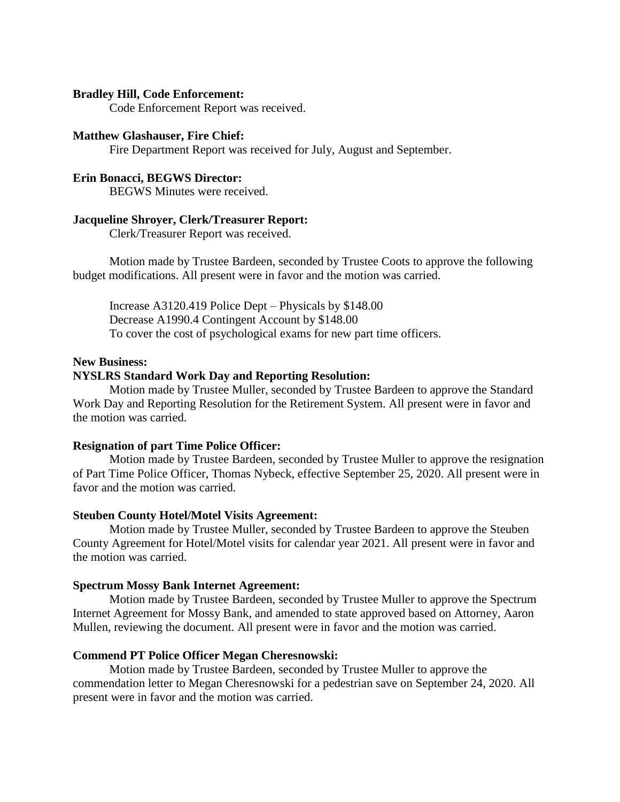## **Bradley Hill, Code Enforcement:**

Code Enforcement Report was received.

#### **Matthew Glashauser, Fire Chief:**

Fire Department Report was received for July, August and September.

## **Erin Bonacci, BEGWS Director:**

BEGWS Minutes were received.

## **Jacqueline Shroyer, Clerk/Treasurer Report:**

Clerk/Treasurer Report was received.

Motion made by Trustee Bardeen, seconded by Trustee Coots to approve the following budget modifications. All present were in favor and the motion was carried.

Increase A3120.419 Police Dept – Physicals by \$148.00 Decrease A1990.4 Contingent Account by \$148.00 To cover the cost of psychological exams for new part time officers.

#### **New Business:**

## **NYSLRS Standard Work Day and Reporting Resolution:**

Motion made by Trustee Muller, seconded by Trustee Bardeen to approve the Standard Work Day and Reporting Resolution for the Retirement System. All present were in favor and the motion was carried.

#### **Resignation of part Time Police Officer:**

Motion made by Trustee Bardeen, seconded by Trustee Muller to approve the resignation of Part Time Police Officer, Thomas Nybeck, effective September 25, 2020. All present were in favor and the motion was carried.

#### **Steuben County Hotel/Motel Visits Agreement:**

Motion made by Trustee Muller, seconded by Trustee Bardeen to approve the Steuben County Agreement for Hotel/Motel visits for calendar year 2021. All present were in favor and the motion was carried.

#### **Spectrum Mossy Bank Internet Agreement:**

Motion made by Trustee Bardeen, seconded by Trustee Muller to approve the Spectrum Internet Agreement for Mossy Bank, and amended to state approved based on Attorney, Aaron Mullen, reviewing the document. All present were in favor and the motion was carried.

## **Commend PT Police Officer Megan Cheresnowski:**

Motion made by Trustee Bardeen, seconded by Trustee Muller to approve the commendation letter to Megan Cheresnowski for a pedestrian save on September 24, 2020. All present were in favor and the motion was carried.